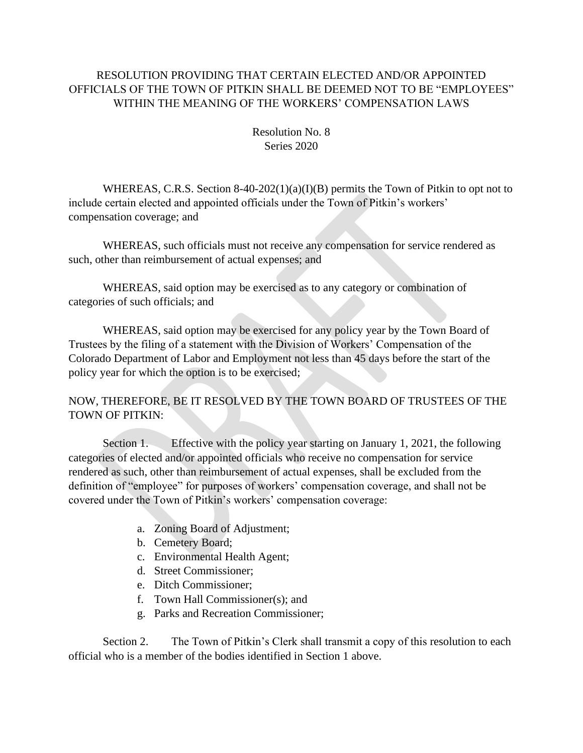## RESOLUTION PROVIDING THAT CERTAIN ELECTED AND/OR APPOINTED OFFICIALS OF THE TOWN OF PITKIN SHALL BE DEEMED NOT TO BE "EMPLOYEES" WITHIN THE MEANING OF THE WORKERS' COMPENSATION LAWS

Resolution No. 8 Series 2020

WHEREAS, C.R.S. Section 8-40-202(1)(a)(I)(B) permits the Town of Pitkin to opt not to include certain elected and appointed officials under the Town of Pitkin's workers' compensation coverage; and

WHEREAS, such officials must not receive any compensation for service rendered as such, other than reimbursement of actual expenses; and

WHEREAS, said option may be exercised as to any category or combination of categories of such officials; and

WHEREAS, said option may be exercised for any policy year by the Town Board of Trustees by the filing of a statement with the Division of Workers' Compensation of the Colorado Department of Labor and Employment not less than 45 days before the start of the policy year for which the option is to be exercised;

NOW, THEREFORE, BE IT RESOLVED BY THE TOWN BOARD OF TRUSTEES OF THE TOWN OF PITKIN:

Section 1. Effective with the policy year starting on January 1, 2021, the following categories of elected and/or appointed officials who receive no compensation for service rendered as such, other than reimbursement of actual expenses, shall be excluded from the definition of "employee" for purposes of workers' compensation coverage, and shall not be covered under the Town of Pitkin's workers' compensation coverage:

- a. Zoning Board of Adjustment;
- b. Cemetery Board;
- c. Environmental Health Agent;
- d. Street Commissioner;
- e. Ditch Commissioner;
- f. Town Hall Commissioner(s); and
- g. Parks and Recreation Commissioner;

Section 2. The Town of Pitkin's Clerk shall transmit a copy of this resolution to each official who is a member of the bodies identified in Section 1 above.